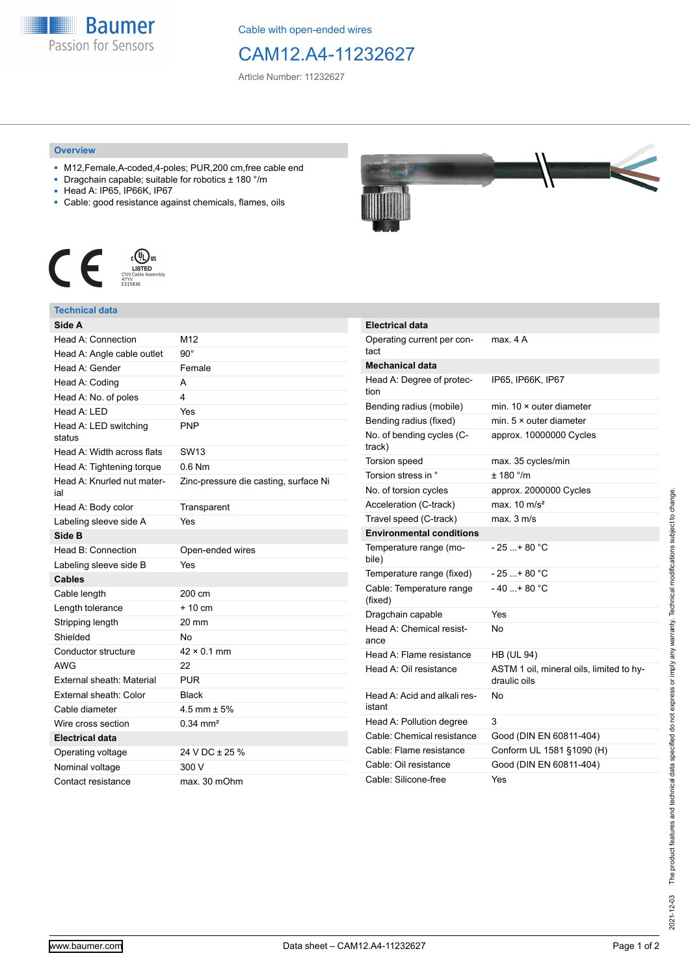

Cable with open-ended wires

## CAM12.A4-11232627

Article Number: 11232627

## **Overview**

- M12,Female,A-coded,4-poles; PUR,200 cm,free cable end
- Dragchain capable; suitable for robotics ± 180 °/m
- Head A: IP65, IP66K, IP67
- Cable: good resistance against chemicals, flames, oils



## **Technical data**

| Side A                            |                                       |
|-----------------------------------|---------------------------------------|
| Head A: Connection                | M12                                   |
| Head A: Angle cable outlet        | $90^{\circ}$                          |
| Head A: Gender                    | Female                                |
| Head A: Coding                    | A                                     |
| Head A: No. of poles              | 4                                     |
| Head A: LED                       | Yes                                   |
| Head A: LED switching<br>status   | <b>PNP</b>                            |
| Head A: Width across flats        | SW <sub>13</sub>                      |
| Head A: Tightening torque         | $0.6$ Nm                              |
| Head A: Knurled nut mater-<br>ial | Zinc-pressure die casting, surface Ni |
| Head A: Body color                | Transparent                           |
| Labeling sleeve side A            | Yes                                   |
| Side B                            |                                       |
| Head B: Connection                | Open-ended wires                      |
| Labeling sleeve side B            | Yes                                   |
| Cables                            |                                       |
| Cable length                      | 200 cm                                |
| Length tolerance                  | $+10$ cm                              |
| Stripping length                  | $20 \text{ mm}$                       |
| Shielded                          | No                                    |
| Conductor structure               | $42 \times 0.1$ mm                    |
| <b>AWG</b>                        | 22                                    |
| External sheath: Material         | <b>PUR</b>                            |
| External sheath: Color            | Black                                 |
| Cable diameter                    | 4.5 mm $\pm$ 5%                       |
| Wire cross section                | $0.34$ mm <sup>2</sup>                |
| <b>Electrical data</b>            |                                       |
|                                   |                                       |
| Operating voltage                 | 24 V DC ± 25 %                        |
| Nominal voltage                   | 300 V                                 |



| <b>Electrical data</b>                 |                                                          |
|----------------------------------------|----------------------------------------------------------|
| Operating current per con-<br>tact     | max. 4 A                                                 |
| <b>Mechanical data</b>                 |                                                          |
| Head A: Degree of protec-<br>tion      | IP65, IP66K, IP67                                        |
| Bending radius (mobile)                | min. $10 \times$ outer diameter                          |
| Bending radius (fixed)                 | min. $5 \times$ outer diameter                           |
| No. of bending cycles (C-<br>track)    | approx. 10000000 Cycles                                  |
| <b>Torsion speed</b>                   | max. 35 cycles/min                                       |
| Torsion stress in °                    | $+ 180$ $^{\circ}$ /m                                    |
| No. of torsion cycles                  | approx. 2000000 Cycles                                   |
| Acceleration (C-track)                 | max. $10 \text{ m/s}^2$                                  |
| Travel speed (C-track)                 | $max$ 3 m/s                                              |
| <b>Environmental conditions</b>        |                                                          |
| Temperature range (mo-<br>bile)        | - 25 + 80 °C                                             |
| Temperature range (fixed)              | - 25 + 80 °C                                             |
| Cable: Temperature range<br>(fixed)    | $-40+80 °C$                                              |
| Dragchain capable                      | Yes                                                      |
| Head A: Chemical resist-<br>ance       | N٥                                                       |
| Head A: Flame resistance               | <b>HB (UL 94)</b>                                        |
| Head A: Oil resistance                 | ASTM 1 oil, mineral oils, limited to hy-<br>draulic oils |
| Head A: Acid and alkali res-<br>istant | No                                                       |
| Head A: Pollution degree               | 3                                                        |
| Cable: Chemical resistance             | Good (DIN EN 60811-404)                                  |
| Cable: Flame resistance                | Conform UL 1581 §1090 (H)                                |
| Cable: Oil resistance                  | Good (DIN EN 60811-404)                                  |
| Cable: Silicone-free                   | Yes                                                      |